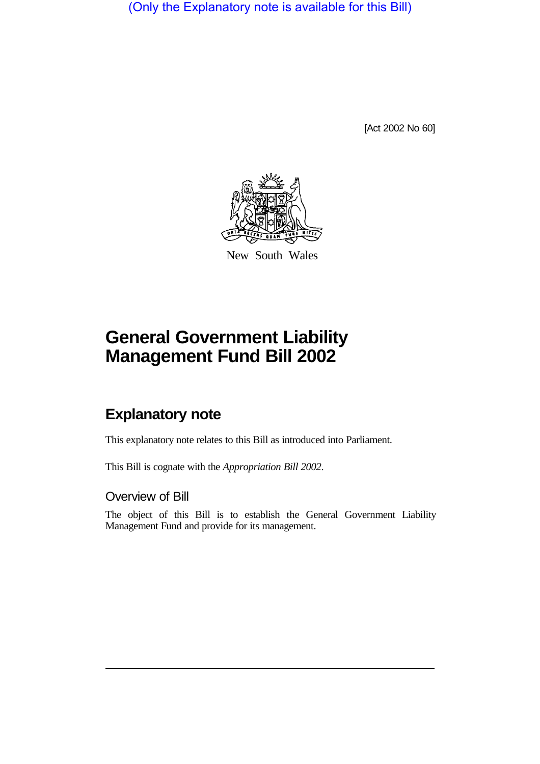(Only the Explanatory note is available for this Bill)

[Act 2002 No 60]



New South Wales

# **General Government Liability Management Fund Bill 2002**

# **Explanatory note**

This explanatory note relates to this Bill as introduced into Parliament.

This Bill is cognate with the *Appropriation Bill 2002*.

#### Overview of Bill

The object of this Bill is to establish the General Government Liability Management Fund and provide for its management.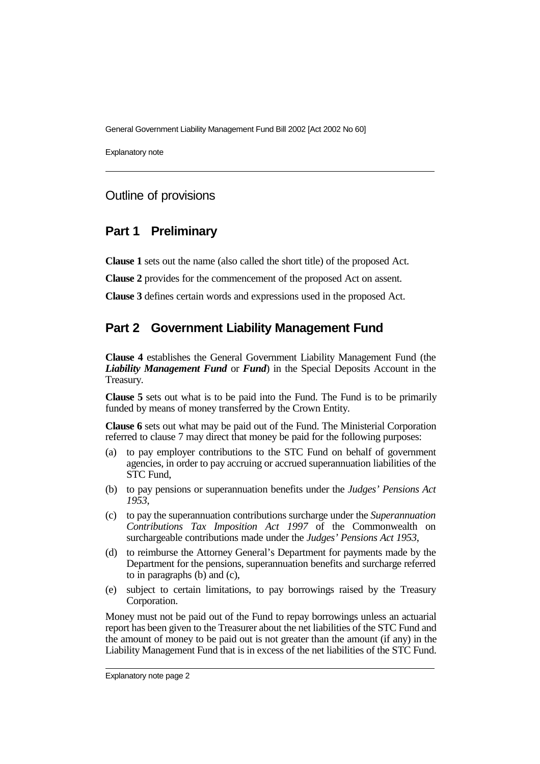General Government Liability Management Fund Bill 2002 [Act 2002 No 60]

Explanatory note

#### Outline of provisions

#### **Part 1 Preliminary**

**Clause 1** sets out the name (also called the short title) of the proposed Act.

**Clause 2** provides for the commencement of the proposed Act on assent.

**Clause 3** defines certain words and expressions used in the proposed Act.

# **Part 2 Government Liability Management Fund**

**Clause 4** establishes the General Government Liability Management Fund (the *Liability Management Fund* or *Fund*) in the Special Deposits Account in the Treasury.

**Clause 5** sets out what is to be paid into the Fund. The Fund is to be primarily funded by means of money transferred by the Crown Entity.

**Clause 6** sets out what may be paid out of the Fund. The Ministerial Corporation referred to clause 7 may direct that money be paid for the following purposes:

- (a) to pay employer contributions to the STC Fund on behalf of government agencies, in order to pay accruing or accrued superannuation liabilities of the STC Fund,
- (b) to pay pensions or superannuation benefits under the *Judges' Pensions Act 1953*,
- (c) to pay the superannuation contributions surcharge under the *Superannuation Contributions Tax Imposition Act 1997* of the Commonwealth on surchargeable contributions made under the *Judges' Pensions Act 1953*,
- (d) to reimburse the Attorney General's Department for payments made by the Department for the pensions, superannuation benefits and surcharge referred to in paragraphs (b) and (c),
- (e) subject to certain limitations, to pay borrowings raised by the Treasury Corporation.

Money must not be paid out of the Fund to repay borrowings unless an actuarial report has been given to the Treasurer about the net liabilities of the STC Fund and the amount of money to be paid out is not greater than the amount (if any) in the Liability Management Fund that is in excess of the net liabilities of the STC Fund.

Explanatory note page 2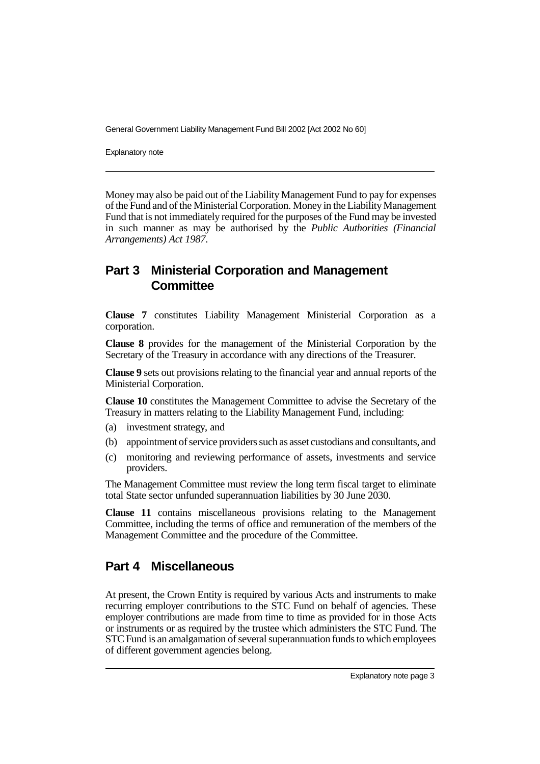General Government Liability Management Fund Bill 2002 [Act 2002 No 60]

Explanatory note

Money may also be paid out of the Liability Management Fund to pay for expenses of the Fund and of the Ministerial Corporation. Money in the Liability Management Fund that is not immediately required for the purposes of the Fund may be invested in such manner as may be authorised by the *Public Authorities (Financial Arrangements) Act 1987*.

# **Part 3 Ministerial Corporation and Management Committee**

**Clause 7** constitutes Liability Management Ministerial Corporation as a corporation.

**Clause 8** provides for the management of the Ministerial Corporation by the Secretary of the Treasury in accordance with any directions of the Treasurer.

**Clause 9** sets out provisions relating to the financial year and annual reports of the Ministerial Corporation.

**Clause 10** constitutes the Management Committee to advise the Secretary of the Treasury in matters relating to the Liability Management Fund, including:

- (a) investment strategy, and
- (b) appointment of service providers such as asset custodians and consultants, and
- (c) monitoring and reviewing performance of assets, investments and service providers.

The Management Committee must review the long term fiscal target to eliminate total State sector unfunded superannuation liabilities by 30 June 2030.

**Clause 11** contains miscellaneous provisions relating to the Management Committee, including the terms of office and remuneration of the members of the Management Committee and the procedure of the Committee.

# **Part 4 Miscellaneous**

At present, the Crown Entity is required by various Acts and instruments to make recurring employer contributions to the STC Fund on behalf of agencies. These employer contributions are made from time to time as provided for in those Acts or instruments or as required by the trustee which administers the STC Fund. The STC Fund is an amalgamation of several superannuation funds to which employees of different government agencies belong.